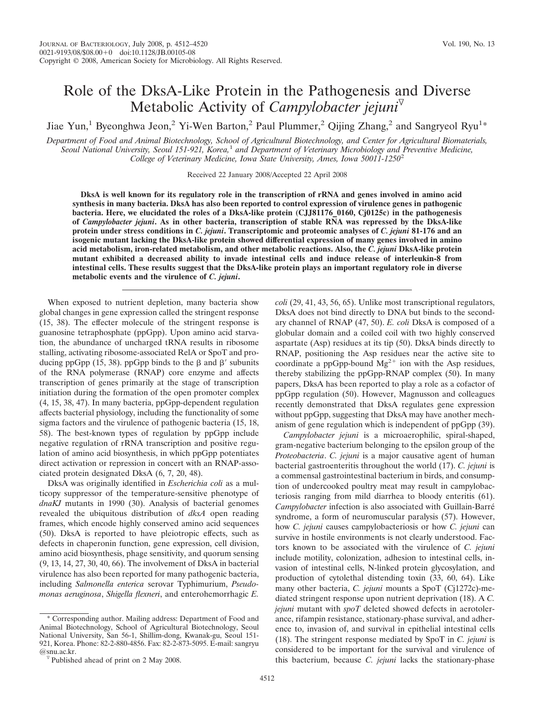# Role of the DksA-Like Protein in the Pathogenesis and Diverse Metabolic Activity of *Campylobacter jejuni*

Jiae Yun,<sup>1</sup> Byeonghwa Jeon,<sup>2</sup> Yi-Wen Barton,<sup>2</sup> Paul Plummer,<sup>2</sup> Qijing Zhang,<sup>2</sup> and Sangryeol Ryu<sup>1\*</sup>

*Department of Food and Animal Biotechnology, School of Agricultural Biotechnology, and Center for Agricultural Biomaterials, Seoul National University, Seoul 151-921, Korea,*<sup>1</sup> *and Department of Veterinary Microbiology and Preventive Medicine, College of Veterinary Medicine, Iowa State University, Ames, Iowa 50011-1250*<sup>2</sup>

Received 22 January 2008/Accepted 22 April 2008

**DksA is well known for its regulatory role in the transcription of rRNA and genes involved in amino acid synthesis in many bacteria. DksA has also been reported to control expression of virulence genes in pathogenic bacteria. Here, we elucidated the roles of a DksA-like protein (CJJ81176\_0160, Cj0125c) in the pathogenesis of** *Campylobacter jejuni***. As in other bacteria, transcription of stable RNA was repressed by the DksA-like protein under stress conditions in** *C. jejuni***. Transcriptomic and proteomic analyses of** *C. jejuni* **81-176 and an isogenic mutant lacking the DksA-like protein showed differential expression of many genes involved in amino acid metabolism, iron-related metabolism, and other metabolic reactions. Also, the** *C. jejuni* **DksA-like protein mutant exhibited a decreased ability to invade intestinal cells and induce release of interleukin-8 from intestinal cells. These results suggest that the DksA-like protein plays an important regulatory role in diverse metabolic events and the virulence of** *C. jejuni***.**

When exposed to nutrient depletion, many bacteria show global changes in gene expression called the stringent response (15, 38). The effecter molecule of the stringent response is guanosine tetraphosphate (ppGpp). Upon amino acid starvation, the abundance of uncharged tRNA results in ribosome stalling, activating ribosome-associated RelA or SpoT and producing ppGpp (15, 38). ppGpp binds to the  $\beta$  and  $\beta'$  subunits of the RNA polymerase (RNAP) core enzyme and affects transcription of genes primarily at the stage of transcription initiation during the formation of the open promoter complex (4, 15, 38, 47). In many bacteria, ppGpp-dependent regulation affects bacterial physiology, including the functionality of some sigma factors and the virulence of pathogenic bacteria (15, 18, 58). The best-known types of regulation by ppGpp include negative regulation of rRNA transcription and positive regulation of amino acid biosynthesis, in which ppGpp potentiates direct activation or repression in concert with an RNAP-associated protein designated DksA (6, 7, 20, 48).

DksA was originally identified in *Escherichia coli* as a multicopy suppressor of the temperature-sensitive phenotype of *dnaKJ* mutants in 1990 (30). Analysis of bacterial genomes revealed the ubiquitous distribution of *dksA* open reading frames, which encode highly conserved amino acid sequences (50). DksA is reported to have pleiotropic effects, such as defects in chaperonin function, gene expression, cell division, amino acid biosynthesis, phage sensitivity, and quorum sensing (9, 13, 14, 27, 30, 40, 66). The involvement of DksA in bacterial virulence has also been reported for many pathogenic bacteria, including *Salmonella enterica* serovar Typhimurium, *Pseudomonas aeruginosa*, *Shigella flexneri*, and enterohemorrhagic *E.*

\* Corresponding author. Mailing address: Department of Food and Animal Biotechnology, School of Agricultural Biotechnology, Seoul National University, San 56-1, Shillim-dong, Kwanak-gu, Seoul 151- 921, Korea. Phone: 82-2-880-4856. Fax: 82-2-873-5095. E-mail: sangryu

*coli* (29, 41, 43, 56, 65). Unlike most transcriptional regulators, DksA does not bind directly to DNA but binds to the secondary channel of RNAP (47, 50). *E. coli* DksA is composed of a globular domain and a coiled coil with two highly conserved aspartate (Asp) residues at its tip (50). DksA binds directly to RNAP, positioning the Asp residues near the active site to coordinate a ppGpp-bound  $Mg^{2+}$  ion with the Asp residues, thereby stabilizing the ppGpp-RNAP complex (50). In many papers, DksA has been reported to play a role as a cofactor of ppGpp regulation (50). However, Magnusson and colleagues recently demonstrated that DksA regulates gene expression without ppGpp, suggesting that DksA may have another mechanism of gene regulation which is independent of ppGpp (39).

*Campylobacter jejuni* is a microaerophilic, spiral-shaped, gram-negative bacterium belonging to the epsilon group of the *Proteobacteria*. *C. jejuni* is a major causative agent of human bacterial gastroenteritis throughout the world (17). *C. jejuni* is a commensal gastrointestinal bacterium in birds, and consumption of undercooked poultry meat may result in campylobacteriosis ranging from mild diarrhea to bloody enteritis (61). *Campylobacter* infection is also associated with Guillain-Barre´ syndrome, a form of neuromuscular paralysis (57). However, how *C. jejuni* causes campylobacteriosis or how *C. jejuni* can survive in hostile environments is not clearly understood. Factors known to be associated with the virulence of *C. jejuni* include motility, colonization, adhesion to intestinal cells, invasion of intestinal cells, N-linked protein glycosylation, and production of cytolethal distending toxin (33, 60, 64). Like many other bacteria, *C. jejuni* mounts a SpoT (Cj1272c)-mediated stringent response upon nutrient deprivation (18). A *C. jejuni* mutant with *spoT* deleted showed defects in aerotolerance, rifampin resistance, stationary-phase survival, and adherence to, invasion of, and survival in epithelial intestinal cells (18). The stringent response mediated by SpoT in *C. jejuni* is considered to be important for the survival and virulence of this bacterium, because *C. jejuni* lacks the stationary-phase

 $\sqrt{ }$  Published ahead of print on 2 May 2008.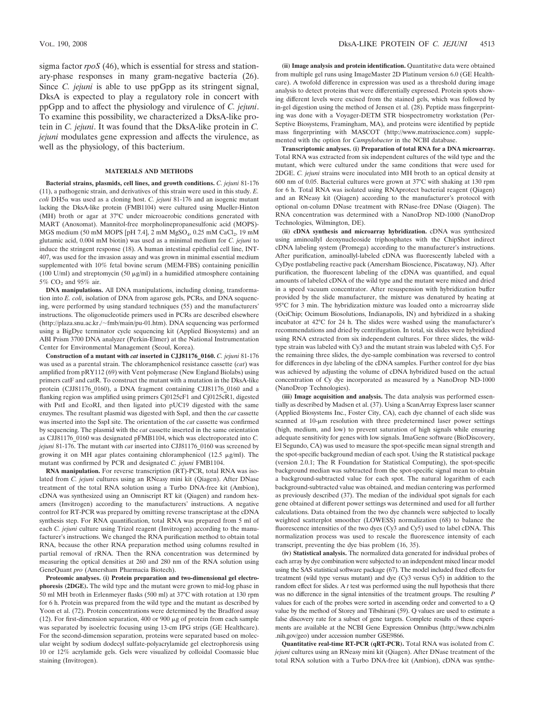sigma factor *rpoS* (46), which is essential for stress and stationary-phase responses in many gram-negative bacteria (26). Since *C. jejuni* is able to use ppGpp as its stringent signal, DksA is expected to play a regulatory role in concert with ppGpp and to affect the physiology and virulence of *C. jejuni*. To examine this possibility, we characterized a DksA-like protein in *C. jejuni*. It was found that the DksA-like protein in *C. jejuni* modulates gene expression and affects the virulence, as well as the physiology, of this bacterium.

### **MATERIALS AND METHODS**

**Bacterial strains, plasmids, cell lines, and growth conditions.** *C. jejuni* 81-176 (11), a pathogenic strain, and derivatives of this strain were used in this study. *E.*  $\text{coli}$  DH5 $\alpha$  was used as a cloning host. *C. jejuni* 81-176 and an isogenic mutant lacking the DksA-like protein (FMB1104) were cultured using Mueller-Hinton (MH) broth or agar at 37°C under microaerobic conditions generated with MART (Anoxomat). Mannitol-free morpholinepropanesulfonic acid (MOPS)- MGS medium (50 mM MOPS [pH 7.4],  $2 \text{ mM } M$ gSO<sub>4</sub>, 0.25 mM CaCl<sub>2</sub>, 19 mM glutamic acid, 0.004 mM biotin) was used as a minimal medium for *C. jejuni* to induce the stringent response (18). A human intestinal epithelial cell line, INT-407, was used for the invasion assay and was grown in minimal essential medium supplemented with 10% fetal bovine serum (MEM-FBS) containing penicillin (100 U/ml) and streptomycin (50  $\mu$ g/ml) in a humidified atmosphere containing 5% CO<sub>2</sub> and 95% air.

**DNA manipulations.** All DNA manipulations, including cloning, transformation into *E. coli*, isolation of DNA from agarose gels, PCRs, and DNA sequencing, were performed by using standard techniques (55) and the manufacturers' instructions. The oligonucleotide primers used in PCRs are described elsewhere (http://plaza.snu.ac.kr./ $\sim$ fmb/main/pu-01.htm). DNA sequencing was performed using a BigDye terminator cycle sequencing kit (Applied Biosystems) and an ABI Prism 3700 DNA analyzer (Perkin-Elmer) at the National Instrumentation Center for Environmental Management (Seoul, Korea).

**Construction of a mutant with** *cat* **inserted in CJJ81176\_0160.** *C. jejuni* 81-176 was used as a parental strain. The chloramphenicol resistance cassette (*cat*) was amplified from pRY112 (69) with Vent polymerase (New England Biolabs) using primers catF and catR. To construct the mutant with a mutation in the DksA-like protein (CJJ81176\_0160), a DNA fragment containing CJJ81176\_0160 and a flanking region was amplified using primers Cj0125cF1 and Cj0125cR1, digested with PstI and EcoRI, and then ligated into pUC19 digested with the same enzymes. The resultant plasmid was digested with SspI, and then the *cat* cassette was inserted into the SspI site. The orientation of the *cat* cassette was confirmed by sequencing. The plasmid with the *cat* cassette inserted in the same orientation as CJJ81176\_0160 was designated pFMB1104, which was electroporated into *C. jejuni* 81-176. The mutant with *cat* inserted into CJJ81176\_0160 was screened by growing it on MH agar plates containing chloramphenicol (12.5  $\mu$ g/ml). The mutant was confirmed by PCR and designated *C. jejuni* FMB1104.

**RNA manipulation.** For reverse transcription (RT)-PCR, total RNA was isolated from *C. jejuni* cultures using an RNeasy mini kit (Qiagen). After DNase treatment of the total RNA solution using a Turbo DNA-free kit (Ambion), cDNA was synthesized using an Omniscript RT kit (Qiagen) and random hexamers (Invitrogen) according to the manufacturers' instructions. A negative control for RT-PCR was prepared by omitting reverse transcriptase at the cDNA synthesis step. For RNA quantification, total RNA was prepared from 5 ml of each *C. jejuni* culture using Trizol reagent (Invitrogen) according to the manufacturer's instructions. We changed the RNA purification method to obtain total RNA, because the other RNA preparation method using columns resulted in partial removal of rRNA. Then the RNA concentration was determined by measuring the optical densities at 260 and 280 nm of the RNA solution using GeneQuant *pro* (Amersham Pharmacia Biotech).

**Proteomic analyses. (i) Protein preparation and two-dimensional gel electrophoresis (2DGE).** The wild type and the mutant were grown to mid-log phase in 50 ml MH broth in Erlenmeyer flasks (500 ml) at 37°C with rotation at 130 rpm for 6 h. Protein was prepared from the wild type and the mutant as described by Yoon et al. (72). Protein concentrations were determined by the Bradford assay (12). For first-dimension separation, 400 or 900  $\mu$ g of protein from each sample was separated by isoelectric focusing using 13-cm IPG strips (GE Healthcare). For the second-dimension separation, proteins were separated based on molecular weight by sodium dodecyl sulfate-polyacrylamide gel electrophoresis using 10 or 12% acrylamide gels. Gels were visualized by colloidal Coomassie blue staining (Invitrogen).

**(ii) Image analysis and protein identification.** Quantitative data were obtained from multiple gel runs using ImageMaster 2D Platinum version 6.0 (GE Healthcare). A twofold difference in expression was used as a threshold during image analysis to detect proteins that were differentially expressed. Protein spots showing different levels were excised from the stained gels, which was followed by in-gel digestion using the method of Jensen et al. (28). Peptide mass fingerprinting was done with a Voyager-DETM STR biospectrometry workstation (Per-Septive Biosystems, Framingham, MA), and proteins were identified by peptide mass fingerprinting with MASCOT (http://www.matrixscience.com) supplemented with the option for *Campylobacter* in the NCBI database.

**Transcriptomic analyses. (i) Preparation of total RNA for a DNA microarray.** Total RNA was extracted from six independent cultures of the wild type and the mutant, which were cultured under the same conditions that were used for 2DGE. *C. jejuni* strains were inoculated into MH broth to an optical density at 600 nm of 0.05. Bacterial cultures were grown at 37°C with shaking at 130 rpm for 6 h. Total RNA was isolated using RNAprotect bacterial reagent (Qiagen) and an RNeasy kit (Qiagen) according to the manufacturer's protocol with optional on-column DNase treatment with RNase-free DNase (Qiagen). The RNA concentration was determined with a NanoDrop ND-1000 (NanoDrop Technologies, Wilmington, DE).

**(ii) cDNA synthesis and microarray hybridization.** cDNA was synthesized using aminoallyl deoxynucleoside triphosphates with the ChipShot indirect cDNA labeling system (Promega) according to the manufacturer's instructions. After purification, aminoallyl-labeled cDNA was fluorescently labeled with a CyDye postlabeling reactive pack (Amersham Bioscience, Piscataway, NJ). After purification, the fluorescent labeling of the cDNA was quantified, and equal amounts of labeled cDNA of the wild type and the mutant were mixed and dried in a speed vacuum concentrator. After resuspension with hybridization buffer provided by the slide manufacturer, the mixture was denatured by heating at 95°C for 3 min. The hybridization mixture was loaded onto a microarray slide (OciChip; Ocimum Biosolutions, Indianapolis, IN) and hybridized in a shaking incubator at 42°C for 24 h. The slides were washed using the manufacturer's recommendations and dried by centrifugation. In total, six slides were hybridized using RNA extracted from six independent cultures. For three slides, the wildtype strain was labeled with Cy3 and the mutant strain was labeled with Cy5. For the remaining three slides, the dye-sample combination was reversed to control for differences in dye labeling of the cDNA samples. Further control for dye bias was achieved by adjusting the volume of cDNA hybridized based on the actual concentration of Cy dye incorporated as measured by a NanoDrop ND-1000 (NanoDrop Technologies).

**(iii) Image acquisition and analysis.** The data analysis was performed essentially as described by Madsen et al. (37). Using a ScanArray Express laser scanner (Applied Biosystems Inc., Foster City, CA), each dye channel of each slide was scanned at 10-um resolution with three predetermined laser power settings (high, medium, and low) to prevent saturation of high signals while ensuring adequate sensitivity for genes with low signals. ImaGene software (BioDiscovery, El Segundo, CA) was used to measure the spot-specific mean signal strength and the spot-specific background median of each spot. Using the R statistical package (version 2.0.1; The R Foundation for Statistical Computing), the spot-specific background median was subtracted from the spot-specific signal mean to obtain a background-subtracted value for each spot. The natural logarithm of each background-subtracted value was obtained, and median centering was performed as previously described (37). The median of the individual spot signals for each gene obtained at different power settings was determined and used for all further calculations. Data obtained from the two dye channels were subjected to locally weighted scatterplot smoother (LOWESS) normalization (68) to balance the fluorescence intensities of the two dyes (Cy3 and Cy5) used to label cDNA. This normalization process was used to rescale the fluorescence intensity of each transcript, preventing the dye bias problem (16, 35).

**(iv) Statistical analysis.** The normalized data generated for individual probes of each array by dye combination were subjected to an independent mixed linear model using the SAS statistical software package (67). The model included fixed effects for treatment (wild type versus mutant) and dye (Cy3 versus Cy5) in addition to the random effect for slides. A *t* test was performed using the null hypothesis that there was no difference in the signal intensities of the treatment groups. The resulting *P* values for each of the probes were sorted in ascending order and converted to a Q value by the method of Storey and Tibshirani (59). Q values are used to estimate a false discovery rate for a subset of gene targets. Complete results of these experiments are available at the NCBI Gene Expression Omnibus (http://www.ncbi.nlm .nih.gov/geo) under accession number GSE9866.

**Quantitative real-time RT-PCR (qRT-PCR).** Total RNA was isolated from *C. jejuni* cultures using an RNeasy mini kit (Qiagen). After DNase treatment of the total RNA solution with a Turbo DNA-free kit (Ambion), cDNA was synthe-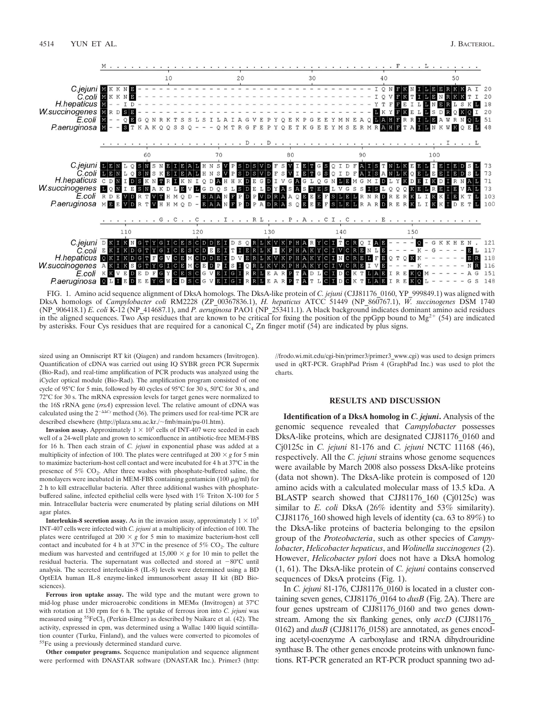

FIG. 1. Amino acid sequence alignment of DksA homologs. The DksA-like protein of *C. jejuni* (CJJ81176\_0160, YP\_999849.1) was aligned with DksA homologs of *Campylobacter coli* RM2228 (ZP\_00367836.1), *H. hepaticus* ATCC 51449 (NP\_860767.1), *W. succinogenes* DSM 1740 (NP\_906418.1) *E. coli* K-12 (NP\_414687.1), and *P. aeruginosa* PAO1 (NP\_253411.1). A black background indicates dominant amino acid residues in the aligned sequences. Two Asp residues that are known to be critical for fixing the position of the ppGpp bound to  $Mg^{2+}$  (54) are indicated by asterisks. Four Cys residues that are required for a canonical  $C_4$  Zn finger motif (54) are indicated by plus signs.

sized using an Omniscript RT kit (Qiagen) and random hexamers (Invitrogen). Quantification of cDNA was carried out using IQ SYBR green PCR Supermix (Bio-Rad), and real-time amplification of PCR products was analyzed using the iCycler optical module (Bio-Rad). The amplification program consisted of one cycle of 95°C for 5 min, followed by 40 cycles of 95°C for 30 s, 50°C for 30 s, and 72°C for 30 s. The mRNA expression levels for target genes were normalized to the 16S rRNA gene (*rrsA*) expression level. The relative amount of cDNA was calculated using the  $2^{-\Delta\Delta C_T}$  method (36). The primers used for real-time PCR are described elsewhere (http://plaza.snu.ac.kr./~fmb/main/pu-01.htm).

**Invasion assay.** Approximately  $1 \times 10^5$  cells of INT-407 were seeded in each well of a 24-well plate and grown to semiconfluence in antibiotic-free MEM-FBS for 16 h. Then each strain of *C. jejuni* in exponential phase was added at a multiplicity of infection of 100. The plates were centrifuged at  $200 \times g$  for 5 min to maximize bacterium-host cell contact and were incubated for 4 h at 37°C in the presence of  $5\%$  CO<sub>2</sub>. After three washes with phosphate-buffered saline, the monolayers were incubated in MEM-FBS containing gentamicin (100  $\mu$ g/ml) for 2 h to kill extracellular bacteria. After three additional washes with phosphatebuffered saline, infected epithelial cells were lysed with 1% Triton X-100 for 5 min. Intracellular bacteria were enumerated by plating serial dilutions on MH agar plates.

**Interleukin-8 secretion assay.** As in the invasion assay, approximately  $1 \times 10^5$ INT-407 cells were infected with *C. jejuni* at a multiplicity of infection of 100. The plates were centrifuged at 200  $\times$  *g* for 5 min to maximize bacterium-host cell contact and incubated for 4 h at  $37^{\circ}$ C in the presence of  $5\%$  CO<sub>2</sub>. The culture medium was harvested and centrifuged at  $15,000 \times g$  for 10 min to pellet the residual bacteria. The supernatant was collected and stored at  $-80^{\circ}$ C until analysis. The secreted interleukin-8 (IL-8) levels were determined using a BD OptEIA human IL-8 enzyme-linked immunosorbent assay II kit (BD Biosciences).

**Ferrous iron uptake assay.** The wild type and the mutant were grown to mid-log phase under microaerobic conditions in MEM $\alpha$  (Invitrogen) at 37°C with rotation at 130 rpm for 6 h. The uptake of ferrous iron into *C. jejuni* was measured using  ${}^{55}\mathrm{FeCl}_{3}$  (Perkin-Elmer) as described by Naikare et al. (42). The activity, expressed in cpm, was determined using a Wallac 1400 liquid scintillation counter (Turku, Finland), and the values were converted to picomoles of 55Fe using a previously determined standard curve.

**Other computer programs.** Sequence manipulation and sequence alignment were performed with DNASTAR software (DNASTAR Inc.). Primer3 (http: //frodo.wi.mit.edu/cgi-bin/primer3/primer3\_www.cgi) was used to design primers used in qRT-PCR. GraphPad Prism 4 (GraphPad Inc.) was used to plot the charts.

### **RESULTS AND DISCUSSION**

**Identification of a DksA homolog in** *C. jejuni***.** Analysis of the genomic sequence revealed that *Campylobacter* possesses DksA-like proteins, which are designated CJJ81176\_0160 and Cj0125c in *C. jejuni* 81-176 and *C. jejuni* NCTC 11168 (46), respectively. All the *C. jejuni* strains whose genome sequences were available by March 2008 also possess DksA-like proteins (data not shown). The DksA-like protein is composed of 120 amino acids with a calculated molecular mass of 13.5 kDa. A BLASTP search showed that CJJ81176 160 (Cj0125c) was similar to *E. coli* DksA (26% identity and 53% similarity). CJJ81176\_160 showed high levels of identity (ca. 63 to 89%) to the DksA-like proteins of bacteria belonging to the epsilon group of the *Proteobacteria*, such as other species of *Campylobacter*, *Helicobacter hepaticus*, and *Wolinella succinogenes* (2). However, *Helicobacter pylori* does not have a DksA homolog (1, 61). The DksA-like protein of *C. jejuni* contains conserved sequences of DksA proteins (Fig. 1).

In *C. jejuni* 81-176, CJJ81176\_0160 is located in a cluster containing seven genes, CJJ81176\_0164 to *dusB* (Fig. 2A). There are four genes upstream of CJJ81176\_0160 and two genes downstream. Among the six flanking genes, only *accD* (CJJ81176\_ 0162) and *dusB* (CJJ81176 0158) are annotated, as genes encoding acetyl-coenzyme A carboxylase and tRNA dihydrouridine synthase B. The other genes encode proteins with unknown functions. RT-PCR generated an RT-PCR product spanning two ad-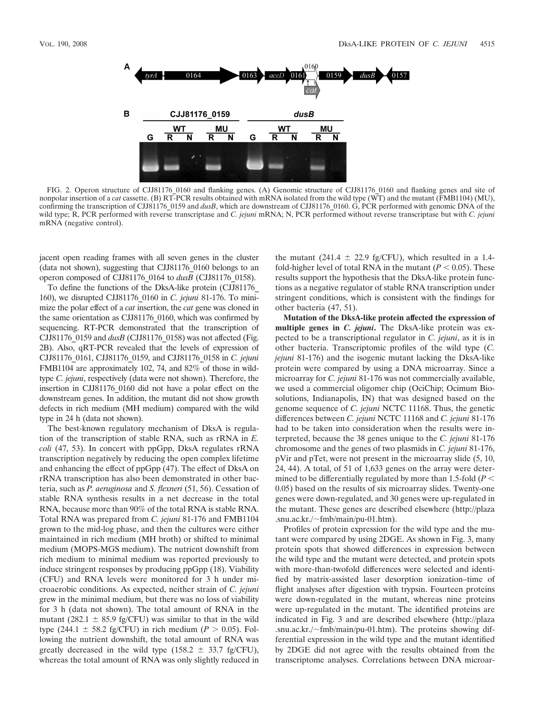

FIG. 2. Operon structure of CJJ81176\_0160 and flanking genes. (A) Genomic structure of CJJ81176\_0160 and flanking genes and site of nonpolar insertion of a *cat* cassette. (B) RT-PCR results obtained with mRNA isolated from the wild type (WT) and the mutant (FMB1104) (MU), confirming the transcription of CJJ81176\_0159 and *dusB*, which are downstream of CJJ81176\_0160. G, PCR performed with genomic DNA of the wild type; R, PCR performed with reverse transcriptase and *C. jejuni* mRNA; N, PCR performed without reverse transcriptase but with *C. jejuni* mRNA (negative control).

jacent open reading frames with all seven genes in the cluster (data not shown), suggesting that CJJ81176\_0160 belongs to an operon composed of CJJ81176\_0164 to *dusB* (CJJ81176\_0158).

To define the functions of the DksA-like protein (CJJ81176\_ 160), we disrupted CJJ81176\_0160 in *C. jejuni* 81-176. To minimize the polar effect of a *cat* insertion, the *cat* gene was cloned in the same orientation as CJJ81176\_0160, which was confirmed by sequencing. RT-PCR demonstrated that the transcription of CJJ81176\_0159 and *dusB* (CJJ81176\_0158) was not affected (Fig. 2B). Also, qRT-PCR revealed that the levels of expression of CJJ81176\_0161, CJJ81176\_0159, and CJJ81176\_0158 in *C. jejuni* FMB1104 are approximately 102, 74, and 82% of those in wildtype *C. jejuni*, respectively (data were not shown). Therefore, the insertion in CJJ81176\_0160 did not have a polar effect on the downstream genes. In addition, the mutant did not show growth defects in rich medium (MH medium) compared with the wild type in 24 h (data not shown).

The best-known regulatory mechanism of DksA is regulation of the transcription of stable RNA, such as rRNA in *E. coli* (47, 53). In concert with ppGpp, DksA regulates rRNA transcription negatively by reducing the open complex lifetime and enhancing the effect of ppGpp (47). The effect of DksA on rRNA transcription has also been demonstrated in other bacteria, such as *P. aeruginosa* and *S. flexneri* (51, 56). Cessation of stable RNA synthesis results in a net decrease in the total RNA, because more than 90% of the total RNA is stable RNA. Total RNA was prepared from *C. jejuni* 81-176 and FMB1104 grown to the mid-log phase, and then the cultures were either maintained in rich medium (MH broth) or shifted to minimal medium (MOPS-MGS medium). The nutrient downshift from rich medium to minimal medium was reported previously to induce stringent responses by producing ppGpp (18). Viability (CFU) and RNA levels were monitored for 3 h under microaerobic conditions. As expected, neither strain of *C. jejuni* grew in the minimal medium, but there was no loss of viability for 3 h (data not shown). The total amount of RNA in the mutant (282.1  $\pm$  85.9 fg/CFU) was similar to that in the wild type  $(244.1 \pm 58.2 \text{ fg/CFU})$  in rich medium  $(P > 0.05)$ . Following the nutrient downshift, the total amount of RNA was greatly decreased in the wild type  $(158.2 \pm 33.7 \text{ fg/CFU})$ , whereas the total amount of RNA was only slightly reduced in

the mutant (241.4  $\pm$  22.9 fg/CFU), which resulted in a 1.4fold-higher level of total RNA in the mutant  $(P < 0.05)$ . These results support the hypothesis that the DksA-like protein functions as a negative regulator of stable RNA transcription under stringent conditions, which is consistent with the findings for other bacteria (47, 51).

**Mutation of the DksA-like protein affected the expression of multiple genes in** *C. jejuni***.** The DksA-like protein was expected to be a transcriptional regulator in *C. jejuni*, as it is in other bacteria. Transcriptomic profiles of the wild type (*C. jejuni* 81-176) and the isogenic mutant lacking the DksA-like protein were compared by using a DNA microarray. Since a microarray for *C. jejuni* 81-176 was not commercially available, we used a commercial oligomer chip (OciChip; Ocimum Biosolutions, Indianapolis, IN) that was designed based on the genome sequence of *C. jejuni* NCTC 11168. Thus, the genetic differences between *C. jejuni* NCTC 11168 and *C. jejuni* 81-176 had to be taken into consideration when the results were interpreted, because the 38 genes unique to the *C. jejuni* 81-176 chromosome and the genes of two plasmids in *C. jejuni* 81-176, pVir and pTet, were not present in the microarray slide (5, 10, 24, 44). A total, of 51 of 1,633 genes on the array were determined to be differentially regulated by more than 1.5-fold  $(P \leq$ 0.05) based on the results of six microarray slides. Twenty-one genes were down-regulated, and 30 genes were up-regulated in the mutant. These genes are described elsewhere (http://plaza .snu.ac.kr./ $\sim$ fmb/main/pu-01.htm).

Profiles of protein expression for the wild type and the mutant were compared by using 2DGE. As shown in Fig. 3, many protein spots that showed differences in expression between the wild type and the mutant were detected, and protein spots with more-than-twofold differences were selected and identified by matrix-assisted laser desorption ionization–time of flight analyses after digestion with trypsin. Fourteen proteins were down-regulated in the mutant, whereas nine proteins were up-regulated in the mutant. The identified proteins are indicated in Fig. 3 and are described elsewhere (http://plaza .snu.ac.kr./ $\sim$ fmb/main/pu-01.htm). The proteins showing differential expression in the wild type and the mutant identified by 2DGE did not agree with the results obtained from the transcriptome analyses. Correlations between DNA microar-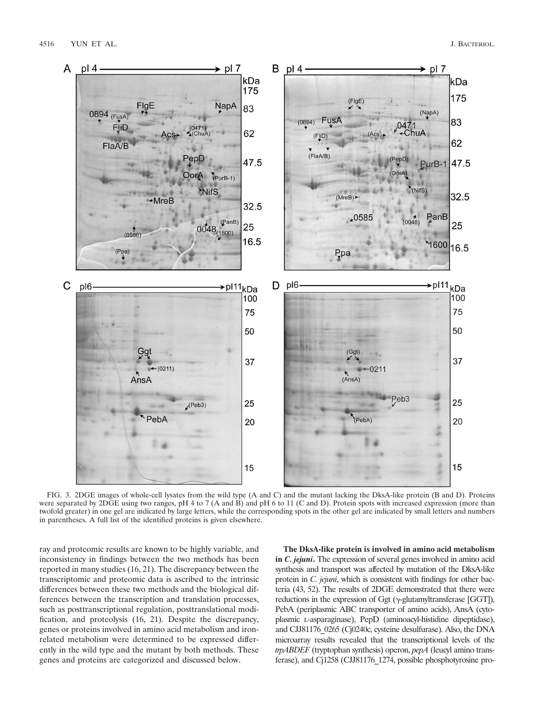

FIG. 3. 2DGE images of whole-cell lysates from the wild type (A and C) and the mutant lacking the DksA-like protein (B and D). Proteins were separated by 2DGE using two ranges, pH 4 to 7 (A and B) and pH 6 to 11 (C and D). Protein spots with increased expression (more than twofold greater) in one gel are indicated by large letters, while the corresponding spots in the other gel are indicated by small letters and numbers in parentheses. A full list of the identified proteins is given elsewhere.

ray and proteomic results are known to be highly variable, and inconsistency in findings between the two methods has been reported in many studies (16, 21). The discrepancy between the transcriptomic and proteomic data is ascribed to the intrinsic differences between these two methods and the biological differences between the transcription and translation processes, such as posttranscriptional regulation, posttranslational modification, and proteolysis (16, 21). Despite the discrepancy, genes or proteins involved in amino acid metabolism and ironrelated metabolism were determined to be expressed differently in the wild type and the mutant by both methods. These genes and proteins are categorized and discussed below.

**The DksA-like protein is involved in amino acid metabolism in** *C. jejuni***.** The expression of several genes involved in amino acid synthesis and transport was affected by mutation of the DksA-like protein in *C. jejuni*, which is consistent with findings for other bacteria (43, 52). The results of 2DGE demonstrated that there were reductions in the expression of Ggt ( $\gamma$ -glutamyltransferase [GGT]), PebA (periplasmic ABC transporter of amino acids), AnsA (cytoplasmic L-asparaginase), PepD (aminoacyl-histidine dipeptidase), and CJJ81176\_0265 (Cj0240c, cysteine desulfurase). Also, the DNA microarray results revealed that the transcriptional levels of the *trpABDEF* (tryptophan synthesis) operon, *pepA* (leucyl amino transferase), and Cj1258 (CJJ81176\_1274, possible phosphotyrosine pro-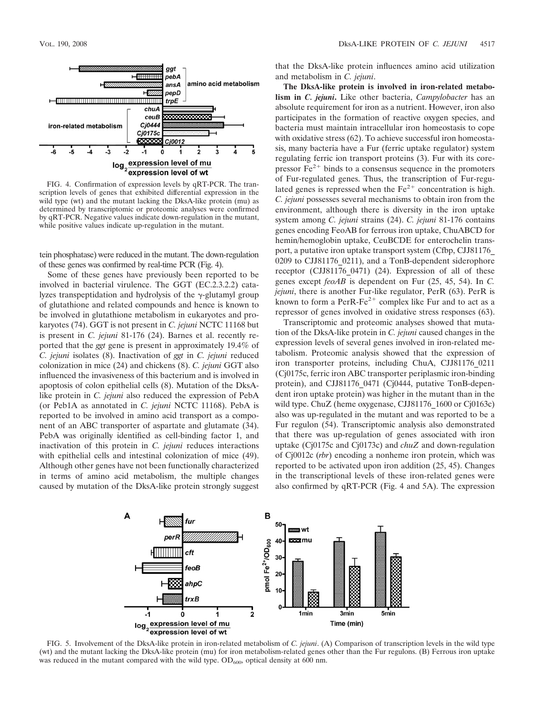

FIG. 4. Confirmation of expression levels by qRT-PCR. The transcription levels of genes that exhibited differential expression in the wild type (wt) and the mutant lacking the DksA-like protein (mu) as determined by transcriptomic or proteomic analyses were confirmed by qRT-PCR. Negative values indicate down-regulation in the mutant, while positive values indicate up-regulation in the mutant.

tein phosphatase) were reduced in the mutant. The down-regulation of these genes was confirmed by real-time PCR (Fig. 4).

Some of these genes have previously been reported to be involved in bacterial virulence. The GGT (EC.2.3.2.2) catalyzes transpeptidation and hydrolysis of the  $\gamma$ -glutamyl group of glutathione and related compounds and hence is known to be involved in glutathione metabolism in eukaryotes and prokaryotes (74). GGT is not present in *C. jejuni* NCTC 11168 but is present in *C. jejuni* 81-176 (24). Barnes et al. recently reported that the *ggt* gene is present in approximately 19.4% of *C. jejuni* isolates (8). Inactivation of *ggt* in *C. jejuni* reduced colonization in mice (24) and chickens (8). *C. jejuni* GGT also influenced the invasiveness of this bacterium and is involved in apoptosis of colon epithelial cells (8). Mutation of the DksAlike protein in *C. jejuni* also reduced the expression of PebA (or Peb1A as annotated in *C. jejuni* NCTC 11168). PebA is reported to be involved in amino acid transport as a component of an ABC transporter of aspartate and glutamate (34). PebA was originally identified as cell-binding factor 1, and inactivation of this protein in *C. jejuni* reduces interactions with epithelial cells and intestinal colonization of mice (49). Although other genes have not been functionally characterized in terms of amino acid metabolism, the multiple changes caused by mutation of the DksA-like protein strongly suggest

that the DksA-like protein influences amino acid utilization and metabolism in *C. jejuni*.

**The DksA-like protein is involved in iron-related metabolism in** *C. jejuni***.** Like other bacteria, *Campylobacter* has an absolute requirement for iron as a nutrient. However, iron also participates in the formation of reactive oxygen species, and bacteria must maintain intracellular iron homeostasis to cope with oxidative stress (62). To achieve successful iron homeostasis, many bacteria have a Fur (ferric uptake regulator) system regulating ferric ion transport proteins (3). Fur with its corepressor  $Fe<sup>2+</sup>$  binds to a consensus sequence in the promoters of Fur-regulated genes. Thus, the transcription of Fur-regulated genes is repressed when the  $Fe<sup>2+</sup>$  concentration is high. *C. jejuni* possesses several mechanisms to obtain iron from the environment, although there is diversity in the iron uptake system among *C. jejuni* strains (24). *C. jejuni* 81-176 contains genes encoding FeoAB for ferrous iron uptake, ChuABCD for hemin/hemoglobin uptake, CeuBCDE for enterochelin transport, a putative iron uptake transport system (Cfbp, CJJ81176\_ 0209 to CJJ81176\_0211), and a TonB-dependent siderophore receptor (CJJ81176\_0471) (24). Expression of all of these genes except *feoAB* is dependent on Fur (25, 45, 54). In *C. jejuni*, there is another Fur-like regulator, PerR (63). PerR is known to form a PerR-Fe<sup> $2+$ </sup> complex like Fur and to act as a repressor of genes involved in oxidative stress responses (63).

Transcriptomic and proteomic analyses showed that mutation of the DksA-like protein in *C. jejuni* caused changes in the expression levels of several genes involved in iron-related metabolism. Proteomic analysis showed that the expression of iron transporter proteins, including ChuA, CJJ81176\_0211 (Cj0175c, ferric iron ABC transporter periplasmic iron-binding protein), and CJJ81176\_0471 (Cj0444, putative TonB-dependent iron uptake protein) was higher in the mutant than in the wild type. ChuZ (heme oxygenase, CJJ81176 1600 or Cj0163c) also was up-regulated in the mutant and was reported to be a Fur regulon (54). Transcriptomic analysis also demonstrated that there was up-regulation of genes associated with iron uptake (Cj0175c and Cj0173c) and *chuZ* and down-regulation of Cj0012c (*rbr*) encoding a nonheme iron protein, which was reported to be activated upon iron addition (25, 45). Changes in the transcriptional levels of these iron-related genes were also confirmed by qRT-PCR (Fig. 4 and 5A). The expression



FIG. 5. Involvement of the DksA-like protein in iron-related metabolism of *C. jejuni*. (A) Comparison of transcription levels in the wild type (wt) and the mutant lacking the DksA-like protein (mu) for iron metabolism-related genes other than the Fur regulons. (B) Ferrous iron uptake was reduced in the mutant compared with the wild type.  $OD_{600}$ , optical density at 600 nm.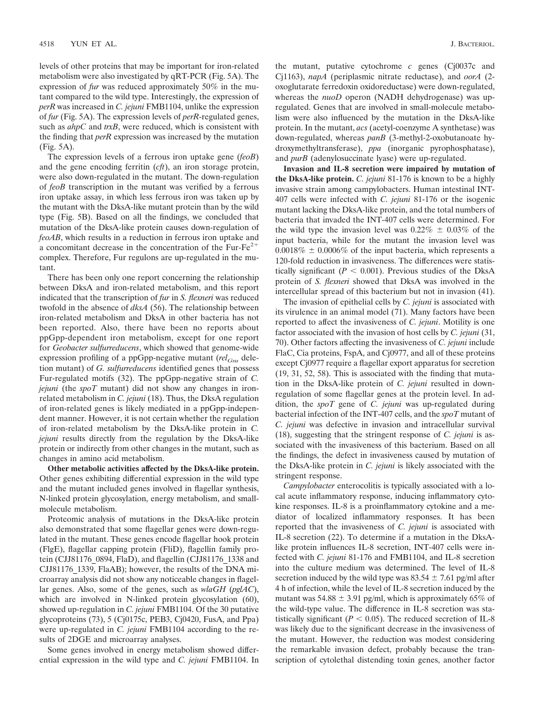levels of other proteins that may be important for iron-related metabolism were also investigated by qRT-PCR (Fig. 5A). The expression of *fur* was reduced approximately 50% in the mutant compared to the wild type. Interestingly, the expression of *perR* was increased in *C. jejuni* FMB1104, unlike the expression of *fur* (Fig. 5A). The expression levels of *perR*-regulated genes, such as *ahpC* and *trxB*, were reduced, which is consistent with the finding that *perR* expression was increased by the mutation (Fig. 5A).

The expression levels of a ferrous iron uptake gene (*feoB*) and the gene encoding ferritin (*cft*), an iron storage protein, were also down-regulated in the mutant. The down-regulation of *feoB* transcription in the mutant was verified by a ferrous iron uptake assay, in which less ferrous iron was taken up by the mutant with the DksA-like mutant protein than by the wild type (Fig. 5B). Based on all the findings, we concluded that mutation of the DksA-like protein causes down-regulation of *feoAB*, which results in a reduction in ferrous iron uptake and a concomitant decrease in the concentration of the Fur-Fe<sup> $2+$ </sup> complex. Therefore, Fur regulons are up-regulated in the mutant.

There has been only one report concerning the relationship between DksA and iron-related metabolism, and this report indicated that the transcription of *fur* in *S. flexneri* was reduced twofold in the absence of *dksA* (56). The relationship between iron-related metabolism and DksA in other bacteria has not been reported. Also, there have been no reports about ppGpp-dependent iron metabolism, except for one report for *Geobacter sulfurreducens*, which showed that genome-wide expression profiling of a ppGpp-negative mutant (*rel<sub>Gsu*</sub> deletion mutant) of *G. sulfurreducens* identified genes that possess Fur-regulated motifs (32). The ppGpp-negative strain of *C. jejuni* (the *spoT* mutant) did not show any changes in ironrelated metabolism in *C. jejuni* (18). Thus, the DksA regulation of iron-related genes is likely mediated in a ppGpp-independent manner. However, it is not certain whether the regulation of iron-related metabolism by the DksA-like protein in *C. jejuni* results directly from the regulation by the DksA-like protein or indirectly from other changes in the mutant, such as changes in amino acid metabolism.

**Other metabolic activities affected by the DksA-like protein.** Other genes exhibiting differential expression in the wild type and the mutant included genes involved in flagellar synthesis, N-linked protein glycosylation, energy metabolism, and smallmolecule metabolism.

Proteomic analysis of mutations in the DksA-like protein also demonstrated that some flagellar genes were down-regulated in the mutant. These genes encode flagellar hook protein (FlgE), flagellar capping protein (FliD), flagellin family protein (CJJ81176\_0894, FlaD), and flagellin (CJJ81176\_1338 and CJJ81176\_1339, FlaAB); however, the results of the DNA microarray analysis did not show any noticeable changes in flagellar genes. Also, some of the genes, such as *wlaGH* (*pglAC*), which are involved in N-linked protein glycosylation (60), showed up-regulation in *C. jejuni* FMB1104. Of the 30 putative glycoproteins (73), 5 (Cj0175c, PEB3, Cj0420, FusA, and Ppa) were up-regulated in *C. jejuni* FMB1104 according to the results of 2DGE and microarray analyses.

Some genes involved in energy metabolism showed differential expression in the wild type and *C. jejuni* FMB1104. In the mutant, putative cytochrome *c* genes (Cj0037c and Cj1163), *napA* (periplasmic nitrate reductase), and *oorA* (2 oxoglutarate ferredoxin oxidoreductase) were down-regulated, whereas the *nuoD* operon (NADH dehydrogenase) was upregulated. Genes that are involved in small-molecule metabolism were also influenced by the mutation in the DksA-like protein. In the mutant, *acs* (acetyl-coenzyme A synthetase) was down-regulated, whereas *panB* (3-methyl-2-oxobutanoate hydroxymethyltransferase), *ppa* (inorganic pyrophosphatase), and *purB* (adenylosuccinate lyase) were up-regulated.

**Invasion and IL-8 secretion were impaired by mutation of the DksA-like protein.** *C. jejuni* 81-176 is known to be a highly invasive strain among campylobacters. Human intestinal INT-407 cells were infected with *C. jejuni* 81-176 or the isogenic mutant lacking the DksA-like protein, and the total numbers of bacteria that invaded the INT-407 cells were determined. For the wild type the invasion level was  $0.22\% \pm 0.03\%$  of the input bacteria, while for the mutant the invasion level was  $0.0018\% \pm 0.0006\%$  of the input bacteria, which represents a 120-fold reduction in invasiveness. The differences were statistically significant ( $P < 0.001$ ). Previous studies of the DksA protein of *S. flexneri* showed that DksA was involved in the intercellular spread of this bacterium but not in invasion (41).

The invasion of epithelial cells by *C. jejuni* is associated with its virulence in an animal model (71). Many factors have been reported to affect the invasiveness of *C. jejuni*. Motility is one factor associated with the invasion of host cells by *C. jejuni* (31, 70). Other factors affecting the invasiveness of *C. jejuni* include FlaC, Cia proteins, FspA, and Cj0977, and all of these proteins except Cj0977 require a flagellar export apparatus for secretion (19, 31, 52, 58). This is associated with the finding that mutation in the DksA-like protein of *C. jejuni* resulted in downregulation of some flagellar genes at the protein level. In addition, the *spoT* gene of *C. jejuni* was up-regulated during bacterial infection of the INT-407 cells, and the *spoT* mutant of *C. jejuni* was defective in invasion and intracellular survival (18), suggesting that the stringent response of *C. jejuni* is associated with the invasiveness of this bacterium. Based on all the findings, the defect in invasiveness caused by mutation of the DksA-like protein in *C. jejuni* is likely associated with the stringent response.

*Campylobacter* enterocolitis is typically associated with a local acute inflammatory response, inducing inflammatory cytokine responses. IL-8 is a proinflammatory cytokine and a mediator of localized inflammatory responses. It has been reported that the invasiveness of *C. jejuni* is associated with IL-8 secretion (22). To determine if a mutation in the DksAlike protein influences IL-8 secretion, INT-407 cells were infected with *C. jejuni* 81-176 and FMB1104, and IL-8 secretion into the culture medium was determined. The level of IL-8 secretion induced by the wild type was  $83.54 \pm 7.61$  pg/ml after 4 h of infection, while the level of IL-8 secretion induced by the mutant was 54.88  $\pm$  3.91 pg/ml, which is approximately 65% of the wild-type value. The difference in IL-8 secretion was statistically significant ( $P < 0.05$ ). The reduced secretion of IL-8 was likely due to the significant decrease in the invasiveness of the mutant. However, the reduction was modest considering the remarkable invasion defect, probably because the transcription of cytolethal distending toxin genes, another factor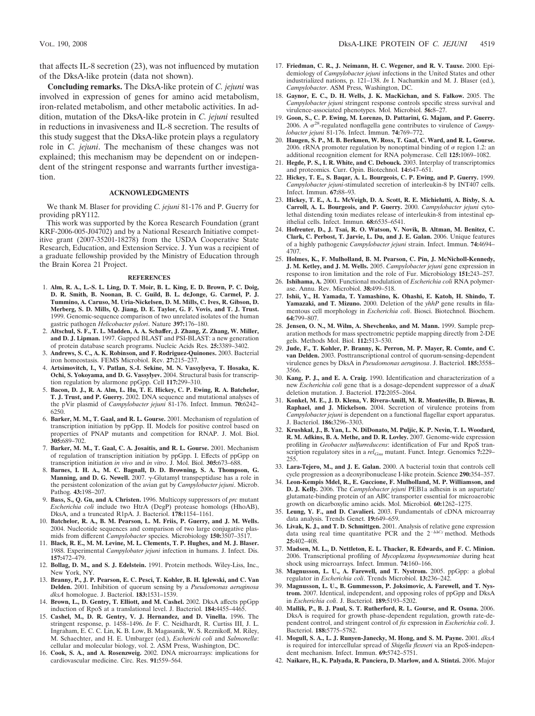that affects IL-8 secretion (23), was not influenced by mutation of the DksA-like protein (data not shown).

**Concluding remarks.** The DksA-like protein of *C. jejuni* was involved in expression of genes for amino acid metabolism, iron-related metabolism, and other metabolic activities. In addition, mutation of the DksA-like protein in *C. jejuni* resulted in reductions in invasiveness and IL-8 secretion. The results of this study suggest that the DksA-like protein plays a regulatory role in *C. jejuni*. The mechanism of these changes was not explained; this mechanism may be dependent on or independent of the stringent response and warrants further investigation.

## **ACKNOWLEDGMENTS**

We thank M. Blaser for providing *C. jejuni* 81-176 and P. Guerry for providing pRY112.

This work was supported by the Korea Research Foundation (grant KRF-2006-005-J04702) and by a National Research Initiative competitive grant (2007-35201-18278) from the USDA Cooperative State Research, Education, and Extension Service. J. Yun was a recipient of a graduate fellowship provided by the Ministry of Education through the Brain Korea 21 Project.

#### **REFERENCES**

- 1. **Alm, R. A., L.-S. L. Ling, D. T. Moir, B. L. King, E. D. Brown, P. C. Doig, D. R. Smith, B. Noonan, B. C. Guild, B. L. deJonge, G. Carmel, P. J. Tummino, A. Caruso, M. Uria-Nickelsen, D. M. Mills, C. Ives, R. Gibson, D. Merberg, S. D. Mills, Q. Jiang, D. E. Taylor, G. F. Vovis, and T. J. Trust.** 1999. Genomic-sequence comparison of two unrelated isolates of the human gastric pathogen *Helicobacter pylori*. Nature **397:**176–180.
- 2. **Altschul, S. F., T. L. Madden, A. A. Schaffer, J. Zhang, Z. Zhang, W. Miller, and D. J. Lipman.** 1997. Gapped BLAST and PSI-BLAST: a new generation of protein database search programs. Nucleic Acids Res. **25:**3389–3402.
- 3. **Andrews, S. C., A. K. Robinson, and F. Rodriguez-Quinones.** 2003. Bacterial iron homeostasis. FEMS Microbiol. Rev. **27:**215–237.
- 4. **Artsimovitch, I., V. Patlan, S.-I. Sekine, M. N. Vassylyeva, T. Hosaka, K. Ochi, S. Yokoyama, and D. G. Vassylyev.** 2004. Structural basis for transcription regulation by alarmone ppGpp. Cell **117:**299–310.
- 5. **Bacon, D. J., R. A. Alm, L. Hu, T. E. Hickey, C. P. Ewing, R. A. Batchelor, T. J. Trust, and P. Guerry.** 2002. DNA sequence and mutational analyses of the pVir plasmid of *Campylobacter jejuni* 81-176. Infect. Immun. **70:**6242– 6250.
- 6. **Barker, M. M., T. Gaal, and R. L. Gourse.** 2001. Mechanism of regulation of transcription initiation by ppGpp. II. Models for positive control based on properties of PNAP mutants and competition for RNAP. J. Mol. Biol. **305:**689–702.
- 7. **Barker, M. M., T. Gaal, C. A. Josaitis, and R. L. Gourse.** 2001. Mechanism of regulation of transcription initiation by ppGpp. I. Effects of ppGpp on transcription initiation *in vivo* and *in vitro*. J. Mol. Biol. **305:**673–688.
- 8. **Barnes, I. H. A., M. C. Bagnall, D. D. Browning, S. A. Thompson, G. Manning, and D. G. Newell.** 2007.  $\gamma$ -Glutamyl transpeptidase has a role in the persistent colonization of the avian gut by *Campylobacter jejuni*. Microb. Pathog. **43:**198–207.
- 9. **Bass, S., Q. Gu, and A. Christen.** 1996. Multicopy suppressors of *prc* mutant *Escherichia coli* include two HtrA (DegP) protease homologs (HhoAB), DksA, and a truncated R1pA. J. Bacteriol. **178:**1154–1161.
- 10. **Batchelor, R. A., B. M. Pearson, L. M. Friis, P. Guerry, and J. M. Wells.** 2004. Nucleotide sequences and comparison of two large conjugative plasmids from different *Campylobacter* species. Microbiology **150:**3507–3517.
- 11. **Black, R. E., M. M. Levine, M. L. Clements, T. P. Hughes, and M. J. Blaser.** 1988. Experimental *Campylobater jejuni* infection in humans. J. Infect. Dis. **157:**472–479.
- 12. **Bollag, D. M., and S. J. Edelstein.** 1991. Protein methods. Wiley-Liss, Inc., New York, NY.
- 13. **Branny, P., J. P. Pearson, E. C. Pesci, T. Kohler, B. H. Iglewski, and C. Van Delden.** 2001. Inhibition of quorum sensing by a *Pseudomonas aeruginosa dksA* homologue. J. Bacteriol. **183:**1531–1539.
- 14. **Brown, L., D. Gentry, T. Elliott, and M. Cashel.** 2002. DksA affects ppGpp induction of RpoS at a translational level. J. Bacteriol. **184:**4455–4465.
- 15. **Cashel, M., D. R. Gentry, V. J. Hernandez, and D. Vinella.** 1996. The stringent response, p. 1458–1496. *In* F. C. Neidhardt, R. Curtiss III, J. L. Ingraham, E. C. C. Lin, K. B. Low, B. Magasanik, W. S. Reznikoff, M. Riley, M. Schaechter, and H. E. Umbarger (ed.), *Escherichi coli* and *Salmonella*: cellular and molecular biology, vol. 2. ASM Press, Washington, DC.
- 16. **Cook, S. A., and A. Rosenzweig.** 2002. DNA microarrays: implications for cardiovascular medicine. Circ. Res. **91:**559–564.
- 17. **Friedman, C. R., J. Neimann, H. C. Wegener, and R. V. Tauxe.** 2000. Epidemiology of *Campylobacter jejuni* infections in the United States and other industrialized nations, p. 121–138. *In* I. Nachamkin and M. J. Blaser (ed.), *Campylobacter*. ASM Press, Washington, DC.
- 18. **Gaynor, E. C., D. H. Wells, J. K. MacKichan, and S. Falkow.** 2005. The *Campylobacter jejuni* stringent response controls specific stress survival and virulence-associated phenotypes. Mol. Microbiol. **56:**8–27.
- 19. **Goon, S., C. P. Ewing, M. Lorenzo, D. Pattarini, G. Majam, and P. Guerry.** 2006. A  $\sigma^{28}$ -regulated nonflagella gene contributes to virulence of *Campylobacter jejuni* 81-176. Infect. Immun. **74:**769–772.
- 20. **Haugen, S. P., M. B. Berkmen, W. Ross, T. Gaal, C. Ward, and R. L. Gourse.** 2006. rRNA promoter regulation by nonoptimal binding of  $\sigma$  region 1.2: an additional recognition element for RNA polymerase. Cell **125:**1069–1082.
- 21. **Hegde, P. S., I. R. White, and C. Debouck.** 2003. Interplay of transcriptomics and proteomics. Curr. Opin. Biotechnol. **14:**647–651.
- 22. **Hickey, T. E., S. Baqar, A. L. Bourgeois, C. P. Ewing, and P. Guerry.** 1999. *Campylobacter jejuni*-stimulated secretion of interleukin-8 by INT407 cells. Infect. Immun. **67:**88–93.
- 23. **Hickey, T. E., A. L. McVeigh, D. A. Scott, R. E. Michielutti, A. Bixby, S. A. Carroll, A. L. Bourgeois, and P. Guerry.** 2000. *Campylobacter jejuni* cytolethal distending toxin mediates release of interleukin-8 from intestinal epithelial cells. Infect. Immun. **68:**6535–6541.
- 24. **Hofreuter, D., J. Tsai, R. O. Watson, V. Novik, B. Altman, M. Benitez, C. Clark, C. Perbost, T. Jarvie, L. Du, and J. E. Galan.** 2006. Unique features of a highly pathogenic *Campylobacter jejuni* strain. Infect. Immun. **74:**4694– 4707.
- 25. **Holmes, K., F. Mulholland, B. M. Pearson, C. Pin, J. McNicholl-Kennedy, J. M. Ketley, and J. M. Wells.** 2005. *Campylobacter jejuni* gene expression in response to iron limitation and the role of Fur. Microbiology **151:**243–257.
- 26. **Ishihama, A.** 2000. Functional modulation of *Escherichia coli* RNA polymerase. Annu. Rev. Microbiol. **38:**499–518.
- 27. **Ishii, Y., H. Yamada, T. Yamashino, K. Ohashi, E. Katoh, H. Shindo, T. Yamazaki, and T. Mizuno.** 2000. Deletion of the *yhhP* gene results in filamentous cell morphology in *Escherichia coli*. Biosci. Biotechnol. Biochem. **64:**799–807.
- 28. **Jensen, O. N., M. Wilm, A. Shevchenko, and M. Mann.** 1999. Sample preparation methods for mass spectrometric peptide mapping directly from 2-DE gels. Methods Mol. Biol. **112:**513–530.
- 29. **Jude, F., T. Kohler, P. Branny, K. Perron, M. P. Mayer, R. Comte, and C. van Delden.** 2003. Posttranscriptional control of quorum-sensing-dependent virulence genes by DksA in *Pseudomonas aeruginosa*. J. Bacteriol. **185:**3558– 3566.
- 30. **Kang, P. J., and E. A. Craig.** 1990. Identification and characterization of a new *Escherichia coli* gene that is a dosage-dependent suppressor of a *dnaK* deletion mutation. J. Bacteriol. **172:**2055–2064.
- 31. **Konkel, M. E., J. D. Klena, V. Rivera-Amill, M. R. Monteville, D. Biswas, B. Raphael, and J. Mickelson.** 2004. Secretion of virulence proteins from *Campylobacter jejuni* is dependent on a functional flagellar export apparatus. J. Bacteriol. **186:**3296–3303.
- 32. **Krushkal, J., B. Yan, L. N. DiDonato, M. Puljic, K. P. Nevin, T. L. Woodard, R. M. Adkins, B. A. Methe, and D. R. Lovley.** 2007. Genome-wide expression profiling in *Geobacter sulfurreducens*: identification of Fur and RpoS transcription regulatory sites in a *rel<sub>Gsu</sub>* mutant. Funct. Integr. Genomics 7:229– 255.
- 33. **Lara-Tejero, M., and J. E. Galan.** 2000. A bacterial toxin that controls cell cycle progression as a deoxyribonuclease I-like protein. Science **290:**354–357.
- 34. **Leon-Kempis Mdel, R., E. Guccione, F. Mulholland, M. P. Williamson, and D. J. Kelly.** 2006. The *Campylobacter jejuni* PEB1a adhesin is an aspartate/ glutamate-binding protein of an ABC transporter essential for microaerobic growth on dicarboxylic amino acids. Mol. Microbiol. **60:**1262–1275.
- 35. **Leung, Y. F., and D. Cavalieri.** 2003. Fundamentals of cDNA microarray data analysis. Trends Genet. **19:**649–659.
- 36. **Livak, K. J., and T. D. Schmittgen.** 2001. Analysis of relative gene expression data using real time quantitative PCR and the  $2^{-\Delta\Delta Cr}$  method. Methods **25:**402–408.
- 37. **Madsen, M. L., D. Nettleton, E. L. Thacker, R. Edwards, and F. C. Minion.** 2006. Transcriptional profiling of *Mycoplasma hyopneumoniae* during heat shock using microarrays. Infect. Immun. **74:**160–166.
- 38. **Magnusson, L. U., A. Farewell, and T. Nystrom.** 2005. ppGpp: a global regulator in *Escherichia coli*. Trends Microbiol. **13:**236–242.
- 39. **Magnusson, L. U., B. Gummesson, P. Joksimovic, A. Farewell, and T. Nystrom.** 2007. Identical, independent, and opposing roles of ppGpp and DksA in *Escherichia coli*. J. Bacteriol. **189:**5193–5202.
- 40. **Mallik, P., B. J. Paul, S. T. Rutherford, R. L. Gourse, and R. Osuna.** 2006. DksA is required for growth phase-dependent regulation, growth rate-dependent control, and stringent control of *fis* expression in *Escherichia coli*. J. Bacteriol. **188:**5775–5782.
- 41. **Mogull, S. A., L. J. Runyen-Janecky, M. Hong, and S. M. Payne.** 2001. *dksA* is required for intercellular spread of *Shigella flexneri* via an RpoS-independent mechanism. Infect. Immun. **69:**5742–5751.
- 42. **Naikare, H., K. Palyada, R. Panciera, D. Marlow, and A. Stintzi.** 2006. Major